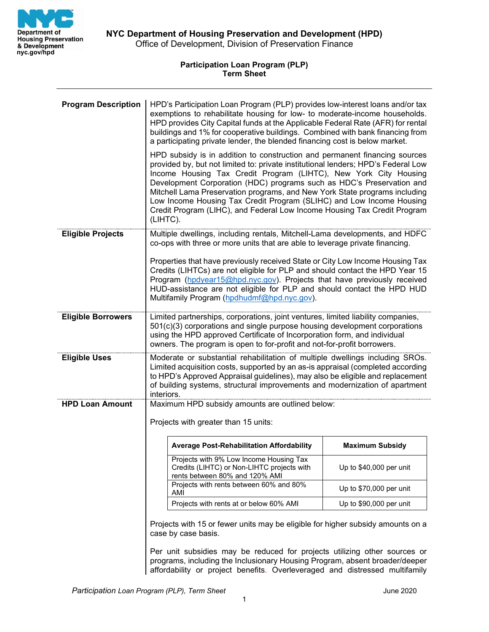

## **Participation Loan Program (PLP) Term Sheet**

| <b>Program Description</b> | HPD's Participation Loan Program (PLP) provides low-interest loans and/or tax<br>exemptions to rehabilitate housing for low- to moderate-income households.<br>HPD provides City Capital funds at the Applicable Federal Rate (AFR) for rental<br>buildings and 1% for cooperative buildings. Combined with bank financing from<br>a participating private lender, the blended financing cost is below market.                                                                                                                                             |                          |
|----------------------------|------------------------------------------------------------------------------------------------------------------------------------------------------------------------------------------------------------------------------------------------------------------------------------------------------------------------------------------------------------------------------------------------------------------------------------------------------------------------------------------------------------------------------------------------------------|--------------------------|
|                            | HPD subsidy is in addition to construction and permanent financing sources<br>provided by, but not limited to: private institutional lenders; HPD's Federal Low<br>Income Housing Tax Credit Program (LIHTC), New York City Housing<br>Development Corporation (HDC) programs such as HDC's Preservation and<br>Mitchell Lama Preservation programs, and New York State programs including<br>Low Income Housing Tax Credit Program (SLIHC) and Low Income Housing<br>Credit Program (LIHC), and Federal Low Income Housing Tax Credit Program<br>(LIHTC). |                          |
| <b>Eligible Projects</b>   | Multiple dwellings, including rentals, Mitchell-Lama developments, and HDFC<br>co-ops with three or more units that are able to leverage private financing.                                                                                                                                                                                                                                                                                                                                                                                                |                          |
|                            | Properties that have previously received State or City Low Income Housing Tax<br>Credits (LIHTCs) are not eligible for PLP and should contact the HPD Year 15<br>Program (hpdyear15@hpd.nyc.gov). Projects that have previously received<br>HUD-assistance are not eligible for PLP and should contact the HPD HUD<br>Multifamily Program (hpdhudmf@hpd.nyc.gov).                                                                                                                                                                                          |                          |
| <b>Eligible Borrowers</b>  | Limited partnerships, corporations, joint ventures, limited liability companies,<br>501(c)(3) corporations and single purpose housing development corporations<br>using the HPD approved Certificate of Incorporation form, and individual<br>owners. The program is open to for-profit and not-for-profit borrowers.                                                                                                                                                                                                                                      |                          |
| <b>Eligible Uses</b>       | Moderate or substantial rehabilitation of multiple dwellings including SROs.<br>Limited acquisition costs, supported by an as-is appraisal (completed according<br>to HPD's Approved Appraisal guidelines), may also be eligible and replacement<br>of building systems, structural improvements and modernization of apartment<br>interiors.                                                                                                                                                                                                              |                          |
| <b>HPD Loan Amount</b>     | Maximum HPD subsidy amounts are outlined below:                                                                                                                                                                                                                                                                                                                                                                                                                                                                                                            |                          |
|                            | Projects with greater than 15 units:                                                                                                                                                                                                                                                                                                                                                                                                                                                                                                                       |                          |
|                            | <b>Average Post-Rehabilitation Affordability</b>                                                                                                                                                                                                                                                                                                                                                                                                                                                                                                           | <b>Maximum Subsidy</b>   |
|                            | Projects with 9% Low Income Housing Tax<br>Credits (LIHTC) or Non-LIHTC projects with<br>rents between 80% and 120% AMI                                                                                                                                                                                                                                                                                                                                                                                                                                    | Up to $$40,000$ per unit |
|                            | Projects with rents between 60% and 80%<br>AMI                                                                                                                                                                                                                                                                                                                                                                                                                                                                                                             | Up to $$70,000$ per unit |
|                            | Projects with rents at or below 60% AMI                                                                                                                                                                                                                                                                                                                                                                                                                                                                                                                    | Up to \$90,000 per unit  |
|                            | Projects with 15 or fewer units may be eligible for higher subsidy amounts on a<br>case by case basis.                                                                                                                                                                                                                                                                                                                                                                                                                                                     |                          |
|                            | Per unit subsidies may be reduced for projects utilizing other sources or<br>programs, including the Inclusionary Housing Program, absent broader/deeper                                                                                                                                                                                                                                                                                                                                                                                                   |                          |

affordability or project benefits. Overleveraged and distressed multifamily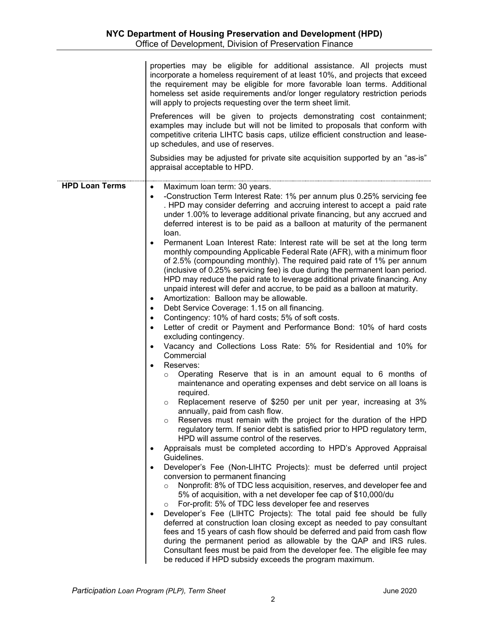|                       | properties may be eligible for additional assistance. All projects must<br>incorporate a homeless requirement of at least 10%, and projects that exceed<br>the requirement may be eligible for more favorable loan terms. Additional<br>homeless set aside requirements and/or longer regulatory restriction periods<br>will apply to projects requesting over the term sheet limit.<br>Preferences will be given to projects demonstrating cost containment;<br>examples may include but will not be limited to proposals that conform with<br>competitive criteria LIHTC basis caps, utilize efficient construction and lease-<br>up schedules, and use of reserves.<br>Subsidies may be adjusted for private site acquisition supported by an "as-is"<br>appraisal acceptable to HPD.                                                                                                                                                                                                                                                                                                                                                                                                                                                                                                                                                                                                                                                                                                                                                                                                                                                                                                                                                                                                                                                                                                                                                                                                                                                                                                                                                                                                                                                                                                                                                                                                                                                                                                                                                                                                        |
|-----------------------|-------------------------------------------------------------------------------------------------------------------------------------------------------------------------------------------------------------------------------------------------------------------------------------------------------------------------------------------------------------------------------------------------------------------------------------------------------------------------------------------------------------------------------------------------------------------------------------------------------------------------------------------------------------------------------------------------------------------------------------------------------------------------------------------------------------------------------------------------------------------------------------------------------------------------------------------------------------------------------------------------------------------------------------------------------------------------------------------------------------------------------------------------------------------------------------------------------------------------------------------------------------------------------------------------------------------------------------------------------------------------------------------------------------------------------------------------------------------------------------------------------------------------------------------------------------------------------------------------------------------------------------------------------------------------------------------------------------------------------------------------------------------------------------------------------------------------------------------------------------------------------------------------------------------------------------------------------------------------------------------------------------------------------------------------------------------------------------------------------------------------------------------------------------------------------------------------------------------------------------------------------------------------------------------------------------------------------------------------------------------------------------------------------------------------------------------------------------------------------------------------------------------------------------------------------------------------------------------------|
| <b>HPD Loan Terms</b> | Maximum loan term: 30 years.<br>$\bullet$<br>-Construction Term Interest Rate: 1% per annum plus 0.25% servicing fee<br>$\bullet$<br>. HPD may consider deferring and accruing interest to accept a paid rate<br>under 1.00% to leverage additional private financing, but any accrued and<br>deferred interest is to be paid as a balloon at maturity of the permanent<br>loan.<br>Permanent Loan Interest Rate: Interest rate will be set at the long term<br>monthly compounding Applicable Federal Rate (AFR), with a minimum floor<br>of 2.5% (compounding monthly). The required paid rate of 1% per annum<br>(inclusive of 0.25% servicing fee) is due during the permanent loan period.<br>HPD may reduce the paid rate to leverage additional private financing. Any<br>unpaid interest will defer and accrue, to be paid as a balloon at maturity.<br>Amortization: Balloon may be allowable.<br>Debt Service Coverage: 1.15 on all financing.<br>$\bullet$<br>Contingency: 10% of hard costs; 5% of soft costs.<br>Letter of credit or Payment and Performance Bond: 10% of hard costs<br>excluding contingency.<br>Vacancy and Collections Loss Rate: 5% for Residential and 10% for<br>Commercial<br>Reserves:<br>Operating Reserve that is in an amount equal to 6 months of<br>$\circ$<br>maintenance and operating expenses and debt service on all loans is<br>required.<br>Replacement reserve of \$250 per unit per year, increasing at 3%<br>$\circ$<br>annually, paid from cash flow.<br>Reserves must remain with the project for the duration of the HPD<br>$\circ$<br>regulatory term. If senior debt is satisfied prior to HPD regulatory term,<br>HPD will assume control of the reserves.<br>Appraisals must be completed according to HPD's Approved Appraisal<br>Guidelines.<br>Developer's Fee (Non-LIHTC Projects): must be deferred until project<br>conversion to permanent financing<br>Nonprofit: 8% of TDC less acquisition, reserves, and developer fee and<br>$\circ$<br>5% of acquisition, with a net developer fee cap of \$10,000/du<br>For-profit: 5% of TDC less developer fee and reserves<br>$\circ$<br>Developer's Fee (LIHTC Projects): The total paid fee should be fully<br>deferred at construction loan closing except as needed to pay consultant<br>fees and 15 years of cash flow should be deferred and paid from cash flow<br>during the permanent period as allowable by the QAP and IRS rules.<br>Consultant fees must be paid from the developer fee. The eligible fee may<br>be reduced if HPD subsidy exceeds the program maximum. |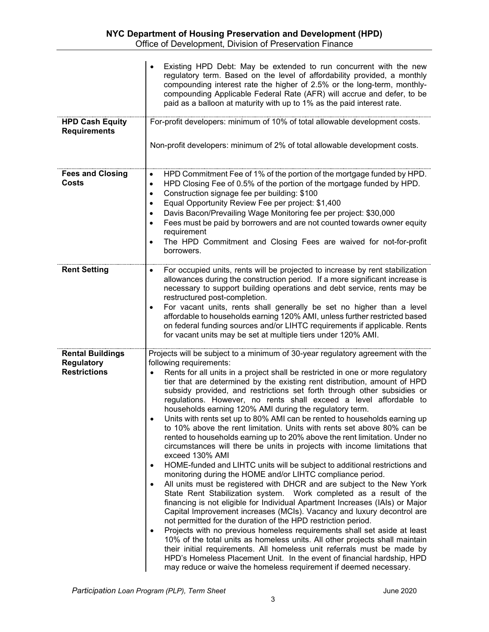|                                                                     | Existing HPD Debt: May be extended to run concurrent with the new<br>regulatory term. Based on the level of affordability provided, a monthly<br>compounding interest rate the higher of 2.5% or the long-term, monthly-<br>compounding Applicable Federal Rate (AFR) will accrue and defer, to be<br>paid as a balloon at maturity with up to 1% as the paid interest rate.                                                                                                                                                                                                                                                                                                                                                                                                                                                                                                                                                                                                                                                                                                                                                                                                                                                                                                                                                                                                                                                                                                                                                                                                                                                                                                                                                                             |
|---------------------------------------------------------------------|----------------------------------------------------------------------------------------------------------------------------------------------------------------------------------------------------------------------------------------------------------------------------------------------------------------------------------------------------------------------------------------------------------------------------------------------------------------------------------------------------------------------------------------------------------------------------------------------------------------------------------------------------------------------------------------------------------------------------------------------------------------------------------------------------------------------------------------------------------------------------------------------------------------------------------------------------------------------------------------------------------------------------------------------------------------------------------------------------------------------------------------------------------------------------------------------------------------------------------------------------------------------------------------------------------------------------------------------------------------------------------------------------------------------------------------------------------------------------------------------------------------------------------------------------------------------------------------------------------------------------------------------------------------------------------------------------------------------------------------------------------|
| <b>HPD Cash Equity</b><br><b>Requirements</b>                       | For-profit developers: minimum of 10% of total allowable development costs.<br>Non-profit developers: minimum of 2% of total allowable development costs.                                                                                                                                                                                                                                                                                                                                                                                                                                                                                                                                                                                                                                                                                                                                                                                                                                                                                                                                                                                                                                                                                                                                                                                                                                                                                                                                                                                                                                                                                                                                                                                                |
| <b>Fees and Closing</b><br><b>Costs</b>                             | HPD Commitment Fee of 1% of the portion of the mortgage funded by HPD.<br>$\bullet$<br>HPD Closing Fee of 0.5% of the portion of the mortgage funded by HPD.<br>$\bullet$<br>Construction signage fee per building: \$100<br>$\bullet$<br>Equal Opportunity Review Fee per project: \$1,400<br>$\bullet$<br>Davis Bacon/Prevailing Wage Monitoring fee per project: \$30,000<br>Fees must be paid by borrowers and are not counted towards owner equity<br>requirement<br>The HPD Commitment and Closing Fees are waived for not-for-profit<br>borrowers.                                                                                                                                                                                                                                                                                                                                                                                                                                                                                                                                                                                                                                                                                                                                                                                                                                                                                                                                                                                                                                                                                                                                                                                                |
| <b>Rent Setting</b>                                                 | For occupied units, rents will be projected to increase by rent stabilization<br>$\bullet$<br>allowances during the construction period. If a more significant increase is<br>necessary to support building operations and debt service, rents may be<br>restructured post-completion.<br>For vacant units, rents shall generally be set no higher than a level<br>$\bullet$<br>affordable to households earning 120% AMI, unless further restricted based<br>on federal funding sources and/or LIHTC requirements if applicable. Rents<br>for vacant units may be set at multiple tiers under 120% AMI.                                                                                                                                                                                                                                                                                                                                                                                                                                                                                                                                                                                                                                                                                                                                                                                                                                                                                                                                                                                                                                                                                                                                                 |
| <b>Rental Buildings</b><br><b>Regulatory</b><br><b>Restrictions</b> | Projects will be subject to a minimum of 30-year regulatory agreement with the<br>following requirements:<br>Rents for all units in a project shall be restricted in one or more regulatory<br>tier that are determined by the existing rent distribution, amount of HPD<br>subsidy provided, and restrictions set forth through other subsidies or<br>regulations. However, no rents shall exceed a level affordable to<br>households earning 120% AMI during the regulatory term.<br>Units with rents set up to 80% AMI can be rented to households earning up<br>to 10% above the rent limitation. Units with rents set above 80% can be<br>rented to households earning up to 20% above the rent limitation. Under no<br>circumstances will there be units in projects with income limitations that<br>exceed 130% AMI<br>HOME-funded and LIHTC units will be subject to additional restrictions and<br>٠<br>monitoring during the HOME and/or LIHTC compliance period.<br>All units must be registered with DHCR and are subject to the New York<br>$\bullet$<br>State Rent Stabilization system. Work completed as a result of the<br>financing is not eligible for Individual Apartment Increases (IAIs) or Major<br>Capital Improvement increases (MCIs). Vacancy and luxury decontrol are<br>not permitted for the duration of the HPD restriction period.<br>Projects with no previous homeless requirements shall set aside at least<br>10% of the total units as homeless units. All other projects shall maintain<br>their initial requirements. All homeless unit referrals must be made by<br>HPD's Homeless Placement Unit. In the event of financial hardship, HPD<br>may reduce or waive the homeless requirement if deemed necessary. |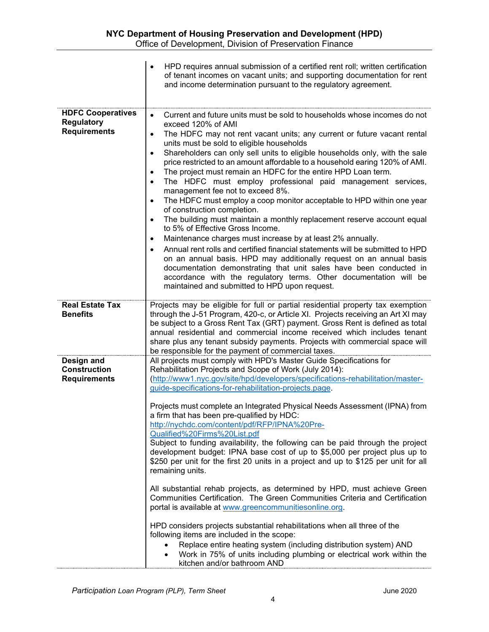|                                                                      | HPD requires annual submission of a certified rent roll; written certification<br>of tenant incomes on vacant units; and supporting documentation for rent<br>and income determination pursuant to the regulatory agreement.                                                                                                                                                                                                                                                                                                                                                                                                                                                                                                                                                                                                                                                                                                                                                                                                                                                                                                                                                                                                                                                                  |
|----------------------------------------------------------------------|-----------------------------------------------------------------------------------------------------------------------------------------------------------------------------------------------------------------------------------------------------------------------------------------------------------------------------------------------------------------------------------------------------------------------------------------------------------------------------------------------------------------------------------------------------------------------------------------------------------------------------------------------------------------------------------------------------------------------------------------------------------------------------------------------------------------------------------------------------------------------------------------------------------------------------------------------------------------------------------------------------------------------------------------------------------------------------------------------------------------------------------------------------------------------------------------------------------------------------------------------------------------------------------------------|
| <b>HDFC Cooperatives</b><br><b>Regulatory</b><br><b>Requirements</b> | Current and future units must be sold to households whose incomes do not<br>$\bullet$<br>exceed 120% of AMI<br>The HDFC may not rent vacant units; any current or future vacant rental<br>$\bullet$<br>units must be sold to eligible households<br>Shareholders can only sell units to eligible households only, with the sale<br>$\bullet$<br>price restricted to an amount affordable to a household earing 120% of AMI.<br>The project must remain an HDFC for the entire HPD Loan term.<br>$\bullet$<br>The HDFC must employ professional paid management services,<br>management fee not to exceed 8%.<br>The HDFC must employ a coop monitor acceptable to HPD within one year<br>of construction completion.<br>The building must maintain a monthly replacement reserve account equal<br>to 5% of Effective Gross Income.<br>Maintenance charges must increase by at least 2% annually.<br>٠<br>Annual rent rolls and certified financial statements will be submitted to HPD<br>on an annual basis. HPD may additionally request on an annual basis<br>documentation demonstrating that unit sales have been conducted in<br>accordance with the regulatory terms. Other documentation will be<br>maintained and submitted to HPD upon request.                                     |
| <b>Real Estate Tax</b><br><b>Benefits</b>                            | Projects may be eligible for full or partial residential property tax exemption<br>through the J-51 Program, 420-c, or Article XI. Projects receiving an Art XI may<br>be subject to a Gross Rent Tax (GRT) payment. Gross Rent is defined as total<br>annual residential and commercial income received which includes tenant<br>share plus any tenant subsidy payments. Projects with commercial space will<br>be responsible for the payment of commercial taxes.                                                                                                                                                                                                                                                                                                                                                                                                                                                                                                                                                                                                                                                                                                                                                                                                                          |
| Design and<br><b>Construction</b><br><b>Requirements</b>             | All projects must comply with HPD's Master Guide Specifications for<br>Rehabilitation Projects and Scope of Work (July 2014):<br>(http://www1.nyc.gov/site/hpd/developers/specifications-rehabilitation/master-<br>guide-specifications-for-rehabilitation-projects.page.<br>Projects must complete an Integrated Physical Needs Assessment (IPNA) from<br>a firm that has been pre-qualified by HDC:<br>http://nychdc.com/content/pdf/RFP/IPNA%20Pre-<br>Qualified%20Firms%20List.pdf<br>Subject to funding availability, the following can be paid through the project<br>development budget: IPNA base cost of up to \$5,000 per project plus up to<br>\$250 per unit for the first 20 units in a project and up to \$125 per unit for all<br>remaining units.<br>All substantial rehab projects, as determined by HPD, must achieve Green<br>Communities Certification. The Green Communities Criteria and Certification<br>portal is available at www.greencommunitiesonline.org.<br>HPD considers projects substantial rehabilitations when all three of the<br>following items are included in the scope:<br>Replace entire heating system (including distribution system) AND<br>Work in 75% of units including plumbing or electrical work within the<br>kitchen and/or bathroom AND |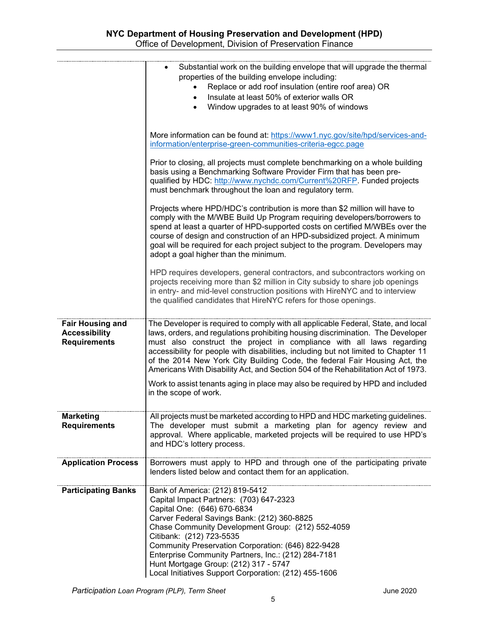|                                                                        | Substantial work on the building envelope that will upgrade the thermal<br>properties of the building envelope including:<br>Replace or add roof insulation (entire roof area) OR<br>Insulate at least 50% of exterior walls OR<br>$\bullet$<br>Window upgrades to at least 90% of windows                                                                                                                                                                                                              |
|------------------------------------------------------------------------|---------------------------------------------------------------------------------------------------------------------------------------------------------------------------------------------------------------------------------------------------------------------------------------------------------------------------------------------------------------------------------------------------------------------------------------------------------------------------------------------------------|
|                                                                        | More information can be found at: https://www1.nyc.gov/site/hpd/services-and-<br>information/enterprise-green-communities-criteria-egcc.page                                                                                                                                                                                                                                                                                                                                                            |
|                                                                        | Prior to closing, all projects must complete benchmarking on a whole building<br>basis using a Benchmarking Software Provider Firm that has been pre-<br>qualified by HDC: http://www.nychdc.com/Current%20RFP. Funded projects<br>must benchmark throughout the loan and regulatory term.                                                                                                                                                                                                              |
|                                                                        | Projects where HPD/HDC's contribution is more than \$2 million will have to<br>comply with the M/WBE Build Up Program requiring developers/borrowers to<br>spend at least a quarter of HPD-supported costs on certified M/WBEs over the<br>course of design and construction of an HPD-subsidized project. A minimum<br>goal will be required for each project subject to the program. Developers may<br>adopt a goal higher than the minimum.                                                          |
|                                                                        | HPD requires developers, general contractors, and subcontractors working on<br>projects receiving more than \$2 million in City subsidy to share job openings<br>in entry- and mid-level construction positions with HireNYC and to interview<br>the qualified candidates that HireNYC refers for those openings.                                                                                                                                                                                       |
| <b>Fair Housing and</b><br><b>Accessibility</b><br><b>Requirements</b> | The Developer is required to comply with all applicable Federal, State, and local<br>laws, orders, and regulations prohibiting housing discrimination. The Developer<br>must also construct the project in compliance with all laws regarding<br>accessibility for people with disabilities, including but not limited to Chapter 11<br>of the 2014 New York City Building Code, the federal Fair Housing Act, the<br>Americans With Disability Act, and Section 504 of the Rehabilitation Act of 1973. |
|                                                                        | Work to assist tenants aging in place may also be required by HPD and included<br>in the scope of work.                                                                                                                                                                                                                                                                                                                                                                                                 |
| <b>Marketing</b><br><b>Requirements</b>                                | All projects must be marketed according to HPD and HDC marketing guidelines.<br>The developer must submit a marketing plan for agency review and<br>approval. Where applicable, marketed projects will be required to use HPD's<br>and HDC's lottery process.                                                                                                                                                                                                                                           |
| <b>Application Process</b>                                             | Borrowers must apply to HPD and through one of the participating private<br>lenders listed below and contact them for an application.                                                                                                                                                                                                                                                                                                                                                                   |
| <b>Participating Banks</b>                                             | Bank of America: (212) 819-5412<br>Capital Impact Partners: (703) 647-2323<br>Capital One: (646) 670-6834<br>Carver Federal Savings Bank: (212) 360-8825<br>Chase Community Development Group: (212) 552-4059<br>Citibank: (212) 723-5535<br>Community Preservation Corporation: (646) 822-9428<br>Enterprise Community Partners, Inc.: (212) 284-7181<br>Hunt Mortgage Group: (212) 317 - 5747<br>Local Initiatives Support Corporation: (212) 455-1606                                                |